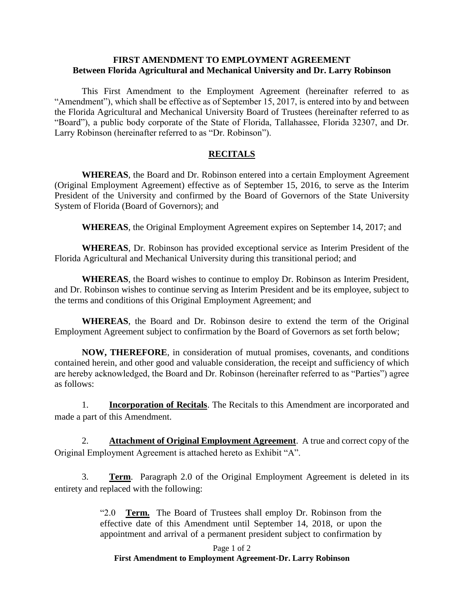## **FIRST AMENDMENT TO EMPLOYMENT AGREEMENT Between Florida Agricultural and Mechanical University and Dr. Larry Robinson**

This First Amendment to the Employment Agreement (hereinafter referred to as "Amendment"), which shall be effective as of September 15, 2017, is entered into by and between the Florida Agricultural and Mechanical University Board of Trustees (hereinafter referred to as "Board"), a public body corporate of the State of Florida, Tallahassee, Florida 32307, and Dr. Larry Robinson (hereinafter referred to as "Dr. Robinson").

## **RECITALS**

**WHEREAS**, the Board and Dr. Robinson entered into a certain Employment Agreement (Original Employment Agreement) effective as of September 15, 2016, to serve as the Interim President of the University and confirmed by the Board of Governors of the State University System of Florida (Board of Governors); and

**WHEREAS**, the Original Employment Agreement expires on September 14, 2017; and

**WHEREAS**, Dr. Robinson has provided exceptional service as Interim President of the Florida Agricultural and Mechanical University during this transitional period; and

**WHEREAS**, the Board wishes to continue to employ Dr. Robinson as Interim President, and Dr. Robinson wishes to continue serving as Interim President and be its employee, subject to the terms and conditions of this Original Employment Agreement; and

**WHEREAS**, the Board and Dr. Robinson desire to extend the term of the Original Employment Agreement subject to confirmation by the Board of Governors as set forth below;

**NOW, THEREFORE**, in consideration of mutual promises, covenants, and conditions contained herein, and other good and valuable consideration, the receipt and sufficiency of which are hereby acknowledged, the Board and Dr. Robinson (hereinafter referred to as "Parties") agree as follows:

1. **Incorporation of Recitals**. The Recitals to this Amendment are incorporated and made a part of this Amendment.

2. **Attachment of Original Employment Agreement**. A true and correct copy of the Original Employment Agreement is attached hereto as Exhibit "A".

3. **Term**. Paragraph 2.0 of the Original Employment Agreement is deleted in its entirety and replaced with the following:

> "2.0 **Term.** The Board of Trustees shall employ Dr. Robinson from the effective date of this Amendment until September 14, 2018, or upon the appointment and arrival of a permanent president subject to confirmation by